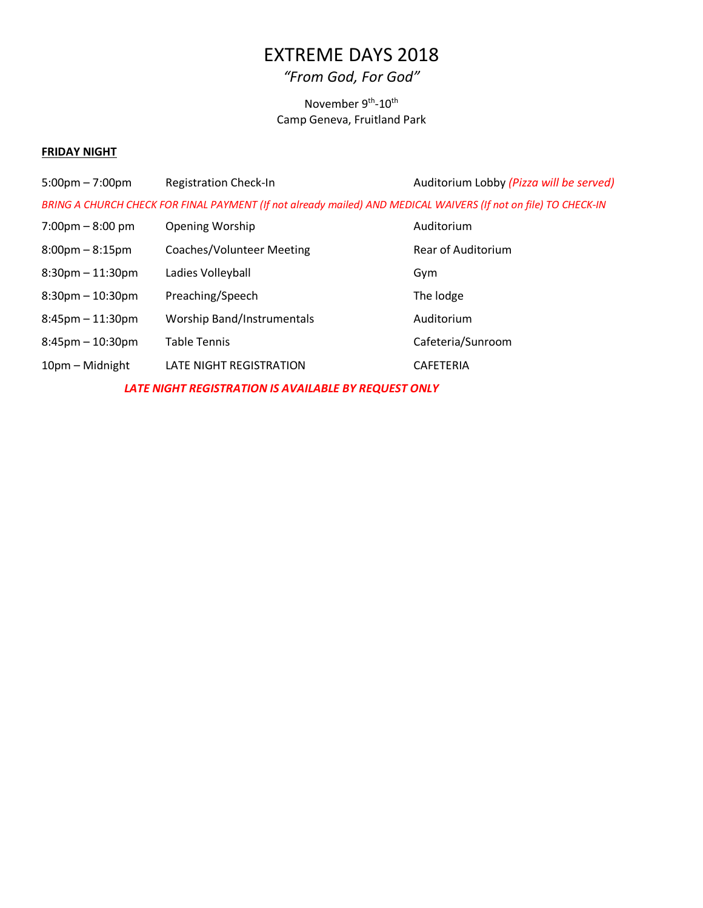# EXTREME DAYS 2018

# *"From God, For God"*

## November 9<sup>th</sup>-10<sup>th</sup> Camp Geneva, Fruitland Park

## **FRIDAY NIGHT**

| $5:00 \text{pm} - 7:00 \text{pm}$                                                                               | <b>Registration Check-In</b>      | Auditorium Lobby (Pizza will be served) |  |  |  |
|-----------------------------------------------------------------------------------------------------------------|-----------------------------------|-----------------------------------------|--|--|--|
| BRING A CHURCH CHECK FOR FINAL PAYMENT (If not already mailed) AND MEDICAL WAIVERS (If not on file) TO CHECK-IN |                                   |                                         |  |  |  |
| $7:00 \text{pm} - 8:00 \text{pm}$                                                                               | <b>Opening Worship</b>            | Auditorium                              |  |  |  |
| $8:00 \text{pm} - 8:15 \text{pm}$                                                                               | <b>Coaches/Volunteer Meeting</b>  | <b>Rear of Auditorium</b>               |  |  |  |
| $8:30$ pm $-11:30$ pm                                                                                           | Ladies Volleyball                 | Gym                                     |  |  |  |
| $8:30$ pm $-10:30$ pm                                                                                           | Preaching/Speech                  | The lodge                               |  |  |  |
| $8:45$ pm $-11:30$ pm                                                                                           | <b>Worship Band/Instrumentals</b> | Auditorium                              |  |  |  |
| $8:45$ pm $-10:30$ pm                                                                                           | <b>Table Tennis</b>               | Cafeteria/Sunroom                       |  |  |  |
| 10pm - Midnight                                                                                                 | LATE NIGHT REGISTRATION           | <b>CAFETERIA</b>                        |  |  |  |
| LATE NIGHT REGISTRATION IS AVAILABLE BY REQUEST ONLY                                                            |                                   |                                         |  |  |  |